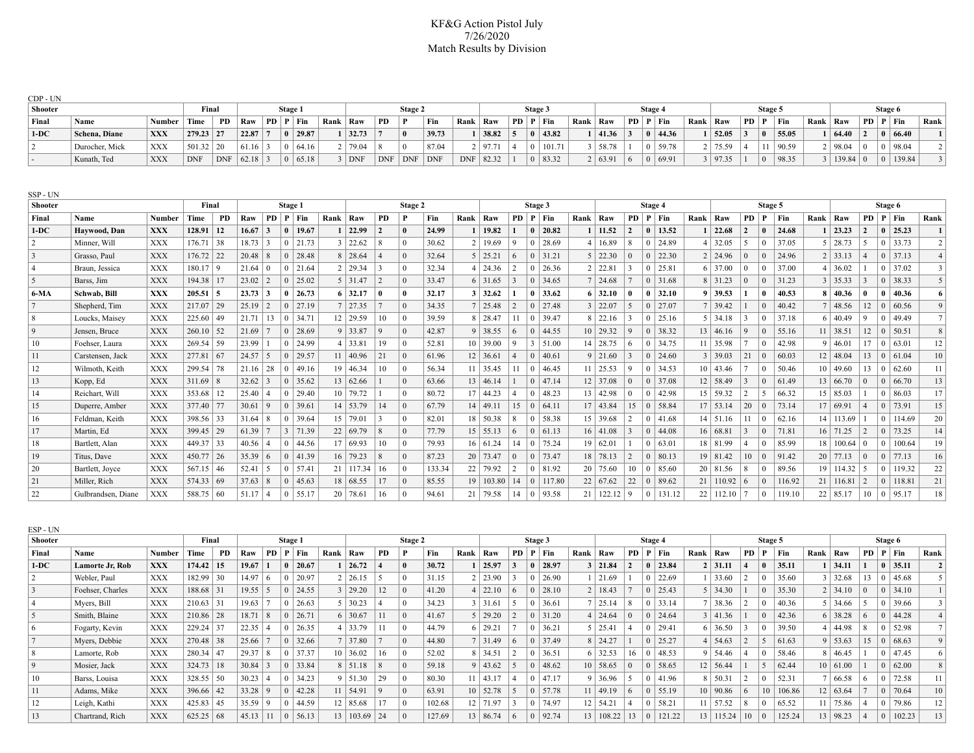## KF&G Action Pistol July 7/26/2020 Match Results by Division

| CDP - UN                 |                    |               |               |            |                 |                |                |                |            |                          |                |                 |            |                |                  |                |                |                |                 |                 |                |                   |                 |                         |                         |              |        |            |                  |                |                 |              |                         |
|--------------------------|--------------------|---------------|---------------|------------|-----------------|----------------|----------------|----------------|------------|--------------------------|----------------|-----------------|------------|----------------|------------------|----------------|----------------|----------------|-----------------|-----------------|----------------|-------------------|-----------------|-------------------------|-------------------------|--------------|--------|------------|------------------|----------------|-----------------|--------------|-------------------------|
| <b>Shooter</b>           |                    |               | Final         |            |                 |                | Stage 1        |                |            |                          |                | Stage 2         |            |                |                  |                | Stage 3        |                |                 |                 |                | Stage 4           |                 |                         |                         | Stage 5      |        |            |                  |                |                 | Stage 6      |                         |
| Final                    | Name               | <b>Number</b> | Time          | PD         | Raw             |                |                | PD   P   Fin   | Rank   Raw |                          | PD             |                 | Fin        | Rank           | Raw              |                |                | PD   P   Fin   |                 | Rank   Raw      |                | PD   P   Fin      | Rank   Raw      |                         | PD   P                  |              | Fin    | Rank   Raw |                  |                |                 | PD   P   Fin | Rank                    |
| $1-DC$                   | Schena, Diane      | <b>XXX</b>    | $279.23$ 27   |            | 22.87           | $\overline{7}$ |                | 0   29.87      |            | $1 \mid 32.73$           |                | $\mathbf{0}$    | 39.73      |                | 38.82            | 5              |                | $0 \mid 43.82$ |                 | 41.36           | 3              | 44.36<br>0        | 1   52.05       |                         | $\vert 3 \vert$         | $\bf{0}$     | 55.05  |            | $ 64.40\rangle$  | $\overline{2}$ | $\bf{0}$        | 66.40        |                         |
| 2                        | Durocher, Mick     | <b>XXX</b>    | $501.32$   20 |            | 61.16           | $\mathcal{E}$  | $\overline{0}$ | 64.16          |            | 2 79.04                  | 8              | $\Omega$        | 87.04      | $\overline{2}$ | 97.71            | $\overline{4}$ | $\overline{0}$ | 101.71         | 3               | 58.78           |                | 59.78             | 2 75.59         |                         | $\overline{4}$          | 11           | 90.59  |            | 98.04            | $\Omega$       | $\bf{0}$        | 98.04        | 2                       |
| $\overline{\phantom{a}}$ | Kunath, Ted        | <b>XXX</b>    | <b>DNF</b>    | <b>DNF</b> | $62.18$ 3       |                |                | $ 0 $ 65.18    |            | $3$ DNF                  | <b>DNF</b>     | $ $ DNF         | <b>DNF</b> |                | DNF 82.32        |                |                | 0   83.32      |                 | 2   63.91       | 6              | 69.91<br>$\Omega$ | 3   97.35       |                         |                         | $\Omega$     | 98.35  |            | 3   139.84       | $\overline{0}$ | $\overline{0}$  | 139.84       | 3 <sup>1</sup>          |
| SSP-UN<br>Shooter        |                    |               | Final         |            |                 |                | Stage 1        |                |            |                          |                | Stage 2         |            |                |                  |                | Stage 3        |                |                 |                 |                | Stage 4           |                 |                         |                         | Stage 5      |        |            |                  |                |                 | Stage 6      |                         |
| Final                    | Name               | Number        | Time          | <b>PD</b>  | Raw             |                |                | PD   P   Fin   | Rank   Raw |                          | <b>PD</b>      |                 | Fin        | Rank           | Raw              |                |                | PD   P   Fin   | Rank            | Raw             | PD             | $P$ Fin           | Rank   Raw      |                         | <b>PD</b>               | P            | Fin    | Rank   Raw |                  |                |                 | PD   P   Fin | Rank                    |
| $1-DC$                   | Haywood, Dan       | XXX           | 128.91   12   |            | $16.67 \mid 3$  |                |                | $0 \mid 19.67$ |            | $1 \mid 22.99$           | $\overline{2}$ | $\theta$        | 24.99      |                | 19.82            |                |                | $0 \mid 20.82$ |                 | 11.52           | $\mathbf{2}$   | 13.52             | $1 \mid 22.68$  |                         | $\vert 2 \vert$         | $\mathbf{0}$ | 24.68  |            | 23.23            | $\overline{2}$ | $\bf{0}$        | 25.23        |                         |
| 2                        | Minner. Will       | <b>XXX</b>    | $176.71$ 38   |            | 18.73           | $\mathcal{E}$  |                | $0 \mid 21.73$ |            | $3 \mid 22.62$           | 8              | $\Omega$        | 30.62      | 2 <sup>1</sup> | 19.69            | $\mathbf Q$    | $\overline{0}$ | 28.69          | 4               | 16.89           | 8              | 24.89             | $4 \mid 32.05$  |                         | 5                       | $\theta$     | 37.05  |            | $5 \mid 28.73$   | 5              | $\bf{0}$        | 33.73        | $\overline{2}$          |
| $\vert 3 \vert$          | Grasso, Paul       | <b>XXX</b>    | $176.72$ 22   |            | $20.48$   8     |                |                | $0 \mid 28.48$ |            | $8 \mid 28.64$           | $\overline{4}$ | $\overline{0}$  | 32.64      |                | $5 \mid 25.21$   | 6              |                | $0 \mid 31.21$ |                 | $5 \mid 22.30$  | $\Omega$       | 22.30             | $2 \mid 24.96$  |                         | $\overline{0}$          |              | 24.96  |            | $2 \mid 33.13$   | $\overline{4}$ | $\overline{0}$  | 37.13        | $\overline{4}$          |
| $\vert 4 \vert$          | Braun, Jessica     | <b>XXX</b>    | $180.17$   9  |            | $21.64 \mid 0$  |                | $\mathbf{0}$   | 21.64          |            | $2 \mid 29.34$           | 3              | $\Omega$        | 32.34      | $\overline{4}$ | 24.36            | $\overline{2}$ | 0 <sup>1</sup> | 26.36          | $\overline{2}$  | 22.81           | 3              | 25.81             | $6 \mid 37.00$  |                         | $\overline{0}$          | $\Omega$     | 37.00  |            | 36.02            |                | $\Omega$        | 37.02        | $\overline{\mathbf{3}}$ |
| 5                        | Barss, Jim         | <b>XXX</b>    | $194.38$   17 |            | 23.02           | 2              |                | $0 \mid 25.02$ |            | $5 \mid 31.47$           | $\overline{2}$ | $\Omega$        | 33.47      |                | $6 \mid 31.65$   | 3              |                | $0 \mid 34.65$ |                 | 24.68           |                | 31.68             | $8 \mid 31.23$  |                         | $\mathbf{0}$            |              | 31.23  |            | $3 \mid 35.33$   | $\overline{3}$ | $\Omega$        | 38.33        | 5                       |
| 6-MA                     | Schwab, Bill       | XXX           | $205.51$ 5    |            | $23.73 \mid 3$  |                |                | $0 \mid 26.73$ |            | $6 \mid 32.17$           | O              | $\theta$        | 32.17      |                | $3 \mid 32.62$   |                |                | $0 \mid 33.62$ | -6              | 32.10           | 0              | 32.10             | $9 \mid 39.53$  |                         |                         | $\mathbf{0}$ | 40.53  |            | $8 \mid 40.36$   | $\mathbf{0}$   | $\mathbf{0}$    | 40.36        | 6                       |
| 7                        | Shepherd, Tim      | <b>XXX</b>    | $217.07$ 29   |            | $25.19$   2     |                |                | $0$   27.19    |            | $7 \mid 27.35$           |                | $\vert 0 \vert$ | 34.35      |                | 25.48            | $\overline{2}$ |                | $0 \mid 27.48$ | 3               | 22.07           | 5              | 27.07<br>$\Omega$ | $7 \mid 39.42$  |                         |                         | $\Omega$     | 40.42  |            | $7 \mid 48.56$   | 12             | $\overline{0}$  | 60.56        | 9 <sup>°</sup>          |
| 8                        | Loucks, Maisey     | <b>XXX</b>    | $225.60$   49 |            | 21.71           | 13             |                | $0 \mid 34.71$ |            | $12 \mid 29.59$          | 10             | $\vert 0 \vert$ | 39.59      | 8              | 28.47            | 11             |                | $0 \mid 39.47$ | 8               | 22.16           | $\mathbf{3}$   | 25.16             | $5 \mid 34.18$  |                         | 3                       |              | 37.18  |            | $6 \mid 40.49$   | 9              | $\Omega$        | 49.49        | 7 <sup>1</sup>          |
| 9                        | Jensen, Bruce      | <b>XXX</b>    | $260.10$ 52   |            | 21.69           |                |                | $0 \mid 28.69$ |            | $9 \mid 33.87$           | 9              | $\Omega$        | 42.87      |                | $9 \mid 38.55$   | 6              |                | $0 \mid 44.55$ |                 | $10 \mid 29.32$ | $\mathbf Q$    | 38.32             | $13 \mid 46.16$ |                         | $\mathbf Q$             | $\Omega$     | 55.16  |            | $11 \mid 38.51$  | 12             | $\vert 0 \vert$ | 50.51        | 8 <sup>1</sup>          |
| 10                       | Foehser. Laura     | <b>XXX</b>    | $269.54$ 59   |            | 23.99           |                |                | $0 \mid 24.99$ |            | $4 \mid 33.81$           | 19             | $\Omega$        | 52.81      |                | 10 39.00         | $\mathbf Q$    | 3              | 51.00          | 14              | 28.75           | 6              | 34.75             | $11 \mid 35.98$ |                         |                         |              | 42.98  |            | $9 \mid 46.01$   | 17             | $\overline{0}$  | 63.01        | 12                      |
| 11                       | Carstensen, Jack   | <b>XXX</b>    | $277.81$ 67   |            | 24.57           | 5              |                | $0 \mid 29.57$ |            | $11 \mid 40.96$          | 21             | $\vert 0 \vert$ | 61.96      |                | $12 \mid 36.61$  | $\overline{4}$ | $\overline{0}$ | 40.61          | 9               | 121.60          | 3              | 24.60             | $3 \mid 39.03$  |                         | 21                      | $\Omega$     | 60.03  |            | $12 \mid 48.04$  | 13             | $\mathbf{0}$    | 61.04        | 10                      |
| 12                       | Wilmoth, Keith     | <b>XXX</b>    | 299.54        | 78         | $21.16 \mid 28$ |                |                | $0 \mid 49.16$ |            | $19 \mid 46.34$          | 10             | $\vert 0 \vert$ | 56.34      | 11             | 35.45            | 11             |                | $0 \mid 46.45$ | 11              | 125.53          | 9              | 34.53             | $10 \mid 43.46$ |                         |                         |              | 50.46  |            | 10 49.60         | 13             | $\bf{0}$        | 62.60        | 11                      |
| 13                       | Kopp, Ed           | <b>XXX</b>    | $311.69$ 8    |            | 32.62           | $\overline{3}$ |                | $0 \mid 35.62$ |            | 13   62.66               |                | $\overline{0}$  | 63.66      |                | $13 \mid 46.14$  |                |                | $0 \mid 47.14$ | 12              | 37.08           | $\Omega$       | 37.08             | 12   58.49      |                         | $\overline{\mathbf{3}}$ |              | 61.49  |            | 13   66.70       | $\Omega$       | $\Omega$        | 66.70        | 13                      |
| 14                       | Reichart. Will     | <b>XXX</b>    | $353.68$   12 |            | $25.40 \mid 4$  |                |                | $0 \mid 29.40$ |            | $10$   79.72             |                | $\overline{0}$  | 80.72      |                | $17 \mid 44.23$  | $\overline{4}$ |                | $0 \mid 48.23$ |                 | $13 \mid 42.98$ | $\Omega$       | 42.98             | $15 \mid 59.32$ |                         | $\vert 2 \vert$         | -5           | 66.32  |            | $15 \mid 85.03$  |                | $\mathbf{0}$    | 86.03        | 17                      |
| 15                       | Duperre, Amber     | <b>XXX</b>    | 377.40 77     |            | 30.61           | 9              |                | $0 \mid 39.61$ |            | 14   53.79               | 14             | $\overline{0}$  | 67.79      |                | $14 \mid 49.11$  | 15             | $\Omega$       | 64.11          |                 | $17 \mid 43.84$ | 15             | 58.84<br>$\Omega$ | 17   53.14      |                         | 20                      | $\Omega$     | 73.14  |            | 17   69.91       | $\Delta$       | $\mathbf{0}$    | 73.91        | 15                      |
| -16                      | Feldman, Keith     | <b>XXX</b>    | 398.56 33     |            | $31.64$ 8       |                |                | $0 \mid 39.64$ |            | $15 \mid 79.01$          | $\overline{3}$ | $\Omega$        | 82.01      |                | $18 \mid 50.38$  | 8              | $\overline{0}$ | 58.38          | 15 <sup>1</sup> | 39.68           | $\overline{2}$ | 41.68             | $14$ 51.16      |                         | 11                      | $\Omega$     | 62.16  |            | $14 \mid 113.69$ |                | $\Omega$        | 114.69       | 20                      |
| $\vert$ 17               | Martin, Ed         | <b>XXX</b>    | $399.45$ 29   |            | 61.39           |                |                | 3   71.39      |            | 22   69.79               | $\sqrt{8}$     | $\Omega$        | 77.79      |                | $15 \mid 55.13$  | 6              | $\Omega$       | 61.13          | 16              | 41.08           | $\mathbf{3}$   | 44.08             | 16   68.81      |                         | 3                       | $\Omega$     | 71.81  |            | $16$ 71.25       | $\mathcal{D}$  | $\Omega$        | 73.25        | 14                      |
| 18                       | Bartlett, Alan     | <b>XXX</b>    | 449.37 33     |            | 40.56           |                |                | $0 \mid 44.56$ |            | 17 69.93                 | 10             | $\overline{0}$  | 79.93      |                | $16 \mid 61.24$  | 14             | 0 <sup>1</sup> | 75.24          |                 | 19   62.01      |                | 63.01             | 18 81.99        |                         | $\overline{4}$          |              | 85.99  |            | $18 \mid 100.64$ | l 0            | $\mathbf{0}$    | 100.64       | 19                      |
| 19                       | Titus, Dave        | <b>XXX</b>    | $450.77$   26 |            | 35.39 6         |                |                | 0   41.39      |            | $16$ 79.23               | 8              | $\Omega$        | 87.23      |                | $20 \mid 73.47$  | $\Omega$       | $\overline{0}$ | 73.47          | 18              | 78.13           | $\overline{2}$ | 80.13             | $19 \mid 81.42$ |                         | 10                      |              | 91.42  |            | $20 \mid 77.13$  | $\Omega$       | $\Omega$        | 77.13        | 16                      |
| 20                       | Bartlett, Joyce    | <b>XXX</b>    | $567.15$ 46   |            | 52.41           | 5              |                | 0   57.41      |            | $21 \mid 117.34 \mid 16$ |                | $\vert 0 \vert$ | 133.34     |                | $22$   79.92     | $\overline{2}$ |                | $0 \mid 81.92$ | 20 <sup>1</sup> | 75.60           | 10             | 85.60             | $20 \mid 81.56$ |                         | 8                       |              | 89.56  |            | 19   114.32      | 5              | $\theta$        | 119.32       | 22                      |
| 21                       | Miller, Rich       | <b>XXX</b>    | 574.33   69   |            | 37.63           | 8              |                | $0 \mid 45.63$ |            | 18 68.55                 | 17             | $\vert 0 \vert$ | 85.55      |                | $19 \mid 103.80$ | 14             |                | $0$   117.80   | 22              | 67.62           | 22             | 89.62             |                 | $21 \mid 110.92 \mid 6$ |                         |              | 116.92 |            | $21 \mid 116.81$ | 2              | $\overline{0}$  | 118.81       | 21                      |
| 22                       | Gulbrandsen, Diane | <b>XXX</b>    | 588.75 60     |            | $51.17$   4     |                |                | $0 \mid 55.17$ |            | $20$   78.61             | 16             | $\overline{0}$  | 94.61      |                | $21 \mid 79.58$  | $14-1$         |                | $0$   93.58    | 21              | 122.12          | -9             | 131.12            |                 | $22$   112.10   7       |                         | $\Omega$     | 119.10 |            | $22 \mid 85.17$  | $10 \mid 0$    |                 | 95.17        | 18                      |

| ESP - UN       |                  |            |               |     |           |         |                |                 |                 |                |         |            |        |     |                 |         |         |      |                  |                |                |        |                 |                 |         |              |         |      |                 |          |         |                |      |
|----------------|------------------|------------|---------------|-----|-----------|---------|----------------|-----------------|-----------------|----------------|---------|------------|--------|-----|-----------------|---------|---------|------|------------------|----------------|----------------|--------|-----------------|-----------------|---------|--------------|---------|------|-----------------|----------|---------|----------------|------|
| <b>Shooter</b> |                  | Final      |               |     |           | Stage 1 |                |                 |                 |                | Stage 2 |            |        |     |                 | Stage 3 |         |      |                  |                | Stage 4        |        |                 |                 | Stage 5 |              |         |      |                 |          | Stage 6 |                |      |
| Final          | Name             | Number     | Time          | PD  | Raw       | PD      | Р              | Fin             | Rank            | Raw            | PD      |            | Fin    | Ran | Raw             | PD.     | $P$ Fin | Rank | Raw              | <b>PD</b>      | $\mathbf P$    | Fin    | Rank            | Raw             | PD      | P            | $ $ Fin | Rank | Raw             |          |         | PD   P   Fin   | Rank |
| $1-DC$         | Lamorte Jr, Rob  | <b>XXX</b> | 174.42        | 15  | 19.67     |         | $\mathbf{0}$   | 120.67          |                 | 26.72          |         |            | 30.72  |     | 25.97           |         | 28.97   |      | 3   21.84        |                | - 0            | 23.84  |                 | 31.11           |         | $\mathbf{0}$ | 35.11   |      | 34.11           |          |         | $0 \mid 35.11$ |      |
| $\mathcal{L}$  | Webler, Paul     | <b>XXX</b> | $182.99$ 30   |     | 14.97     |         |                | 20.97           |                 | 26.15          |         |            | 31.15  |     | 23.90           |         | 26.90   |      | 21.69            |                |                | 22.69  |                 | 33.60           |         |              | 35.60   |      | $3 \mid 32.68$  | 13       |         | 45.68          |      |
| $\vert$ 3      | Foehser, Charles | <b>XXX</b> | 188.68        | 31  | 19.55     |         |                | 24.55           |                 | 29.20          | 12      |            | 41.20  |     | 22.10           |         | 28.10   |      | 2 18.43          |                |                | 25.43  |                 | 34.30           |         |              | 35.30   |      | $2 \mid 34.10$  | $\Omega$ | $+0.1$  | 34.10          |      |
|                | Myers, Bill      | <b>XXX</b> | 210.63        |     | 19.63     |         |                | 26.63           |                 | 30.23          |         |            | 34.23  |     | 31.61           |         | 36.61   |      | 7 25.14          | -8             |                | 33.14  |                 | 38.36           |         |              | 40.36   |      | $5 \mid 34.66$  |          |         | 39.66          |      |
|                | Smith, Blaine    | <b>XXX</b> | $210.86$ 28   |     | 18.71     |         | $\Omega$       | 26.71           |                 | $6 \mid 30.67$ | 11      | ſ          | 41.67  |     | 29.20           |         | 31.20   |      | $4 \mid 24.64$   | $\overline{0}$ |                | 24.64  |                 | $3 \mid 41.36$  |         | $\Omega$     | 42.36   |      | $6 \mid 38.28$  | 6        |         | 44.28          |      |
| 6              | Fogarty, Kevin   | <b>XXX</b> | 229.24        | 37  | 22.35     |         |                | 26.35           |                 | 33.79          |         |            | 44.79  |     | 29.21           |         | 36.21   |      | 5 25.41          |                |                | 29.41  |                 | $6 \mid 36.50$  |         |              | 39.50   |      | 4   44.98       |          | -0      | 52.98          |      |
|                | Myers, Debbie    | <b>XXX</b> | $270.48$ 38   |     | 25.66     |         |                | 0 32.66         |                 | 137.80         |         |            | 44.80  |     | 31.49           |         | 37.49   |      | $8 \mid 24.27$   |                |                | 25.27  |                 | 4 54.63         |         |              | 61.63   |      | $9 \mid 53.63$  | 15       |         | $ 0 $ 68.63    |      |
| 8              | Lamorte, Rob     | <b>XXX</b> | 280.34        | 147 | 29.37     |         |                | 37.37           | 10 <sup>1</sup> | 36.02          | 16      |            | 52.02  |     | $8 \mid 34.51$  |         | 36.51   |      | $6 \mid 32.53$   | 16             |                | 48.53  |                 | $9 \mid 54.46$  |         |              | 58.46   |      | $8 \mid 46.45$  |          |         | 47.45          |      |
| $\overline{9}$ | Mosier, Jack     | <b>XXX</b> | 324.73        | 18  | 30.84     |         |                | 33.84           |                 | $8 \mid 51.18$ |         |            | 59.18  |     | 43.62           |         | 48.62   |      | 10 58.65         | $\overline{0}$ |                | 58.65  |                 | $12 \mid 56.44$ |         |              | 62.44   |      | 10   61.00      |          |         | $ 0 $ 62.00    |      |
| 10             | Barss, Louisa    | <b>XXX</b> | 328.55        | 50  | 30.23     |         | $^{\circ}$     | 34.23           |                 | $9 \mid 51.30$ | 29      |            | 80.30  |     | $11 \mid 43.17$ |         | 47.17   |      | 9 36.96          |                |                | 41.96  |                 | 8   50.31       |         |              | 52.31   |      | 66.58           |          |         | 72.58          | 11   |
| 11             | Adams, Mike      | <b>XXX</b> | $396.66$ 42   |     | $33.28$ 9 |         | $\overline{0}$ | 42.28           | 11              | 54.91          |         | $\epsilon$ | 63.91  |     | 10   52.78      |         | 57.78   |      | $11 \mid 49.19$  | 6              |                | 55.19  |                 | $10 \mid 90.86$ | 6       | 10           | 106.86  |      | $12 \mid 63.64$ |          | -0      | 70.64          | 10   |
| 12             | Leigh, Kathi     | <b>XXX</b> | $425.83$   45 |     | 35.59     |         | $\Omega$       | $ 44.59\rangle$ | 12              | 85.68          | 17      |            | 102.68 |     | $12$ 71.97      |         | 74.97   |      | $12 \mid 54.21$  |                |                | 58.21  |                 | 57.52           |         |              | 65.52   |      | $11 \mid 75.86$ |          |         | 79.86          | 12   |
| 13             | Chartrand, Rich  | <b>XXX</b> | 625.25        | -68 | 45.13     |         | $\vert$ ()     | 56.13           | 13              | 103.69         | 24      |            | 127.69 |     | 13   86.74      |         | 92.74   |      | $13 \mid 108.22$ |                | $\overline{0}$ | 121.22 | 13 <sup>1</sup> | 115.24          | 10      | $\theta$     | 125.24  |      | 13 98.23        |          | -0      | 102.23         | 13   |